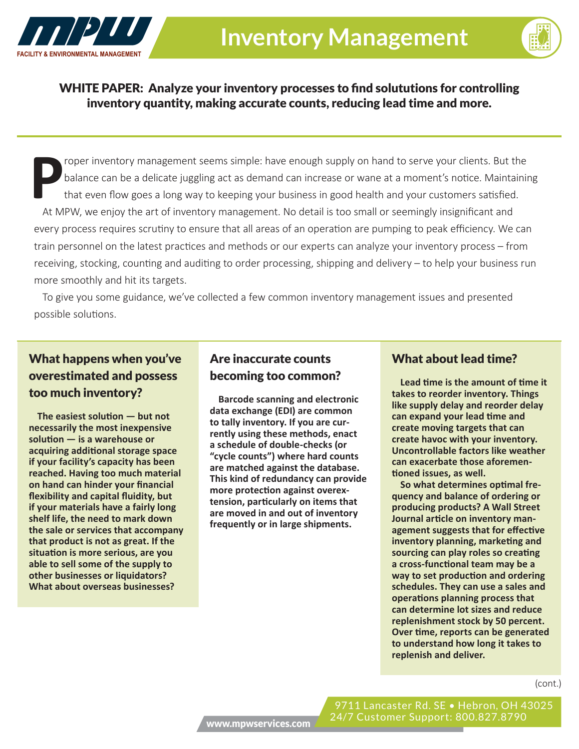



WHITE PAPER: Analyze your inventory processes to find solututions for controlling inventory quantity, making accurate counts, reducing lead time and more.

roper inventory management seems simple: have enough supply on hand to serve your clients. But the balance can be a delicate juggling act as demand can increase or wane at a moment's notice. Maintaining that even flow goes a long way to keeping your business in good health and your customers satisfied. At MPW, we enjoy the art of inventory management. No detail is too small or seemingly insignificant and every process requires scrutiny to ensure that all areas of an operation are pumping to peak efficiency. We can train personnel on the latest practices and methods or our experts can analyze your inventory process – from receiving, stocking, counting and auditing to order processing, shipping and delivery – to help your business run more smoothly and hit its targets.

To give you some guidance, we've collected a few common inventory management issues and presented possible solutions.

## What happens when you've overestimated and possess too much inventory?

**The easiest solution — but not necessarily the most inexpensive solution — is a warehouse or acquiring additional storage space if your facility's capacity has been reached. Having too much material on hand can hinder your financial flexibility and capital fluidity, but if your materials have a fairly long shelf life, the need to mark down the sale or services that accompany that product is not as great. If the situation is more serious, are you able to sell some of the supply to other businesses or liquidators? What about overseas businesses?**

### Are inaccurate counts becoming too common?

**Barcode scanning and electronic data exchange (EDI) are common to tally inventory. If you are currently using these methods, enact a schedule of double-checks (or "cycle counts") where hard counts are matched against the database. This kind of redundancy can provide more protection against overextension, particularly on items that are moved in and out of inventory frequently or in large shipments.** 

#### What about lead time?

**Lead time is the amount of time it takes to reorder inventory. Things like supply delay and reorder delay can expand your lead time and create moving targets that can create havoc with your inventory. Uncontrollable factors like weather can exacerbate those aforementioned issues, as well.**

**So what determines optimal frequency and balance of ordering or producing products? A Wall Street Journal article on inventory management suggests that for effective inventory planning, marketing and sourcing can play roles so creating a cross-functional team may be a way to set production and ordering schedules. They can use a sales and operations planning process that can determine lot sizes and reduce replenishment stock by 50 percent. Over time, reports can be generated to understand how long it takes to replenish and deliver.**